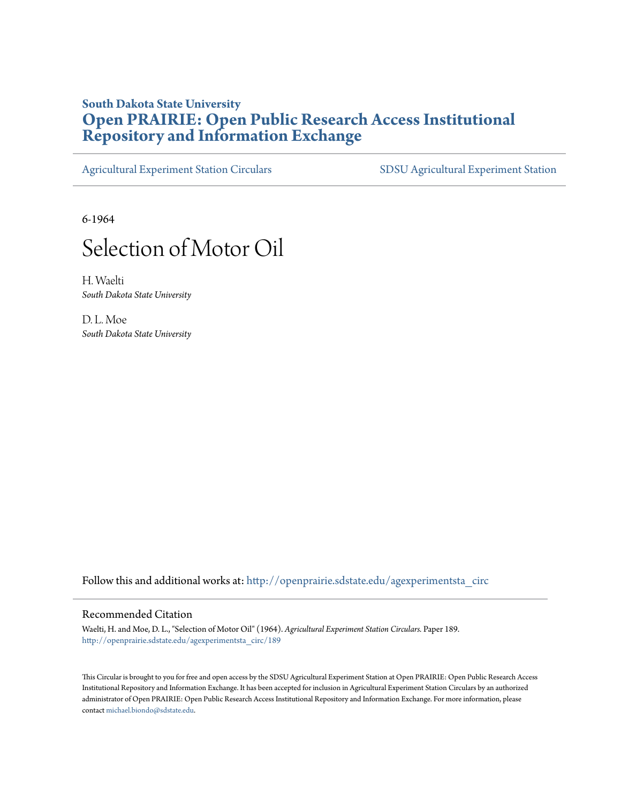## **South Dakota State University [Open PRAIRIE: Open Public Research Access Institutional](http://openprairie.sdstate.edu?utm_source=openprairie.sdstate.edu%2Fagexperimentsta_circ%2F189&utm_medium=PDF&utm_campaign=PDFCoverPages) [Repository and Information Exchange](http://openprairie.sdstate.edu?utm_source=openprairie.sdstate.edu%2Fagexperimentsta_circ%2F189&utm_medium=PDF&utm_campaign=PDFCoverPages)**

[Agricultural Experiment Station Circulars](http://openprairie.sdstate.edu/agexperimentsta_circ?utm_source=openprairie.sdstate.edu%2Fagexperimentsta_circ%2F189&utm_medium=PDF&utm_campaign=PDFCoverPages) [SDSU Agricultural Experiment Station](http://openprairie.sdstate.edu/agexperimentsta?utm_source=openprairie.sdstate.edu%2Fagexperimentsta_circ%2F189&utm_medium=PDF&utm_campaign=PDFCoverPages)

6-1964



H. Waelti *South Dakota State University*

D. L. Moe *South Dakota State University*

Follow this and additional works at: [http://openprairie.sdstate.edu/agexperimentsta\\_circ](http://openprairie.sdstate.edu/agexperimentsta_circ?utm_source=openprairie.sdstate.edu%2Fagexperimentsta_circ%2F189&utm_medium=PDF&utm_campaign=PDFCoverPages)

### Recommended Citation

Waelti, H. and Moe, D. L., "Selection of Motor Oil" (1964). *Agricultural Experiment Station Circulars.* Paper 189. [http://openprairie.sdstate.edu/agexperimentsta\\_circ/189](http://openprairie.sdstate.edu/agexperimentsta_circ/189?utm_source=openprairie.sdstate.edu%2Fagexperimentsta_circ%2F189&utm_medium=PDF&utm_campaign=PDFCoverPages)

This Circular is brought to you for free and open access by the SDSU Agricultural Experiment Station at Open PRAIRIE: Open Public Research Access Institutional Repository and Information Exchange. It has been accepted for inclusion in Agricultural Experiment Station Circulars by an authorized administrator of Open PRAIRIE: Open Public Research Access Institutional Repository and Information Exchange. For more information, please contact [michael.biondo@sdstate.edu](mailto:michael.biondo@sdstate.edu).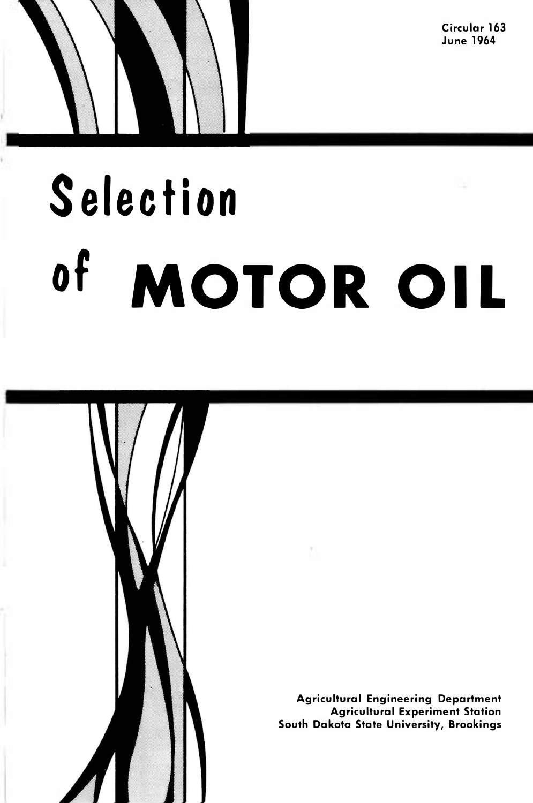**Circular 163 June 1964** 

# **Selection of MOTOR OIL**



**Agricultural Engineering Department Agricultural Experiment Station South Dakota State University, Brookings**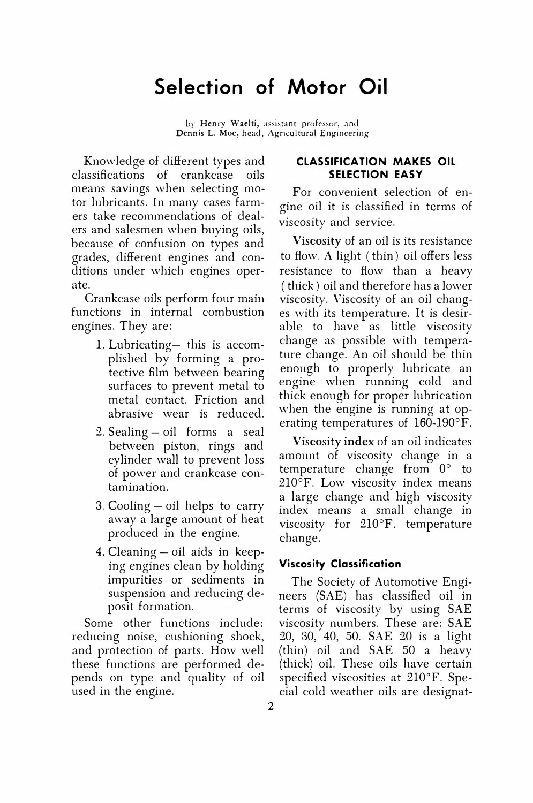# **Selection of Motor Oil**

by Henry Waelti, assistant professor, and Dennis L. Moe, head, Agricultural Engineering

Knowledge of different types and classifications of crankcase oils means savings when selecting motor lubricants. In many cases farmers take recommendations of dealers and salesmen when buying oils, because of confusion on types and grades, different engines and conditions under which engines operate.

Crankcase oils perform four main functions in internal combustion engines. They are:

- I. Lubricating- this is accomplished by forming a protective film between bearing surfaces to prevent metal to metal contact. Friction and abrasive wear is reduced.
- 2. Sealing oil forms a seal between piston, rings and cylinder wall to prevent loss of power and crankcase contamination.
- 3. Cooling  $-$  oil helps to carry away a large amount of heat produced in the engine.
- 4. Cleaning oil aids in keeping engines clean by holding impurities or sediments in suspension and reducing deposit formation.

Some other functions include: reducing noise, cushioning shock, and protection of parts. How well these functions are performed depends on type and quality of oil used in the engine.

#### **CLASSIFICATION MAKES OIL SELECTION EASY**

For convenient selection of engine oil it is classified in terms of viscosity and service.

Viscosity of an oil is its resistance to flow. A light (thin) oil offers less resistance to flow than a heavy ( thick ) oil and therefore has a lower viscosity. Viscosity of an oil changes with its temperature. It is desirable to have as little viscosity change as possible with temperature change. An oil should be thin enough to properly lubricate an engine when running cold and thick enough for proper lubrication when the engine is running at operating temperatures of 160-190°F.

Viscosity **index** of an oil indicates amount of viscosity change in a temperature change from 0 ° to  $210^{\circ}$ F. Low viscosity index means a large change and high viscosity index means a small change in viscosity for 210°F. temperature change.

#### **Viscosity Classification**

The Society of Automotive Engineers (SAE) has classified oil in terms of viscosity by using SAE viscosity numbers. These are: SAE 20, 30, 40, 50. SAE 20 is a light (thin) oil and SAE 50 a heavy (thick) oil. These oils have certain specified viscosities at 210°F. Special cold weather oils are designat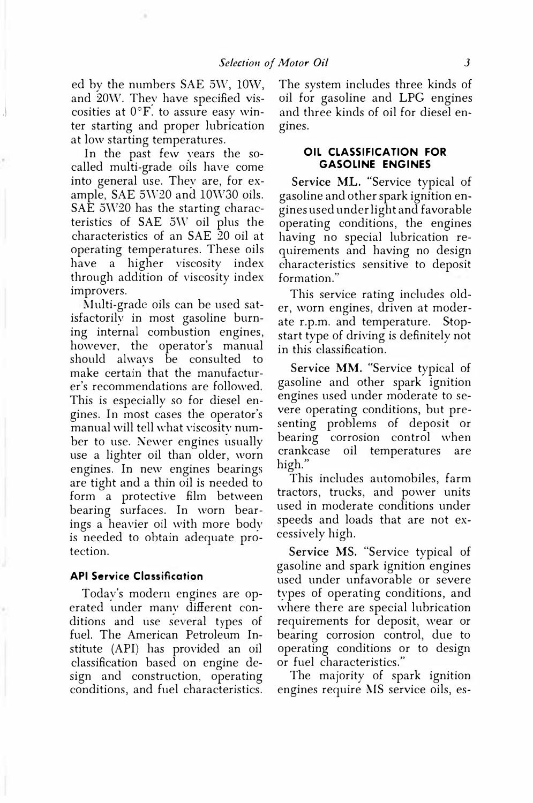ed by the numbers SAE SW, lOW, and 20W. They have specified viscosities at 0 °F. to assure easy winter starting and proper lubrication at low starting temperatures.

.l

In the past few years the socalled multi-grade oils have come into general use. They are, for example, SAE 5W20 and 10W30 oils. SAE SW20 has the starting characteristics of SAE SW oil plus the characteristics of an SAE 20 oil at operating temperatures. These oils have a higher viscosity index through addition of viscosity index improvers.

Multi-grade oils can be used satisfactorily in most gasoline burning internal combustion engines, however, the operator's manual should always be consulted to make certain that the manufacturer's recommendations are followed. This is especially so for diesel engines. In most cases the operator's manual will tell what viscosity number to use. Newer engines usually use a lighter oil than older, worn engines. In new engines bearings are tight and a thin oil is needed to form a protective film between bearing surfaces. In worn bearings a heavier oil with more body is needed to obtain adequate protection.

#### **API Service Classification**

Today's modern engines are operated under many different conditions and use several types of fuel. The American Petroleum Institute (API) has provided an oil classification based on engine design and construction, operating conditions, and fuel characteristics.

The system includes three kinds of oil for gasoline and LPG engines and three kinds of oil for diesel engines.

#### **OIL CLASSIFICATION FOR GASOLINE ENGINES**

Service ML. "Service typical of gasoline and other spark ignition engines used under light and favorable operating conditions, the engines having no special lubrication requirements and having no design characteristics sensitive to deposit formation."

This service rating includes older, worn engines, driven at moderate r.p.m. and temperature. Stopstart type of driving is definitely not in this classification.

Service MM. "Service typical of gasoline and other spark ignition engines used under moderate to severe operating conditions, but presenting problems of deposit or bearing corrosion control when crankcase oil temperatures are high."

This includes automobiles, farm tractors, trucks, and power units used in moderate conditions under speeds and loads that are not excessively high.

Service MS. "Service typical of gasoline and spark ignition engines used under unfavorable or severe types of operating conditions, and where there are special lubrication requirements for deposit, wear or bearing corrosion control, due to operating conditions or to design or fuel characteristics."

The majority of spark ignition engines require MS service oils, es-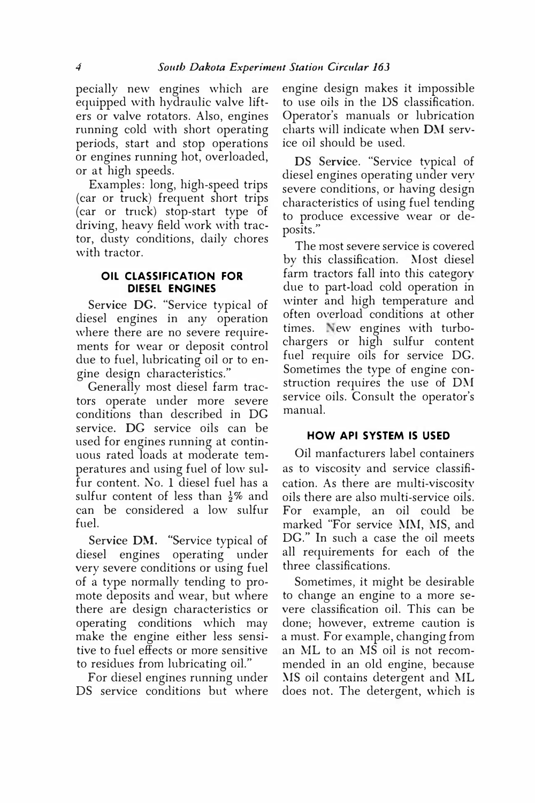pecially new engines which are equipped with hydraulic valve lifters or valve rotators. Also, engines running cold with short operating periods, start and stop operations or engines running hot, overloaded, or at high speeds.

Examples: long, high-speed trips (car or truck) frequent short trips (car or truck) stop-start type of driving, heavy field work with tractor, dusty conditions, daily chores with tractor.

#### **OIL CLASSIFICATION FOR DIESEL ENGINES**

Service DG. "Service typical of diesel engines in any operation where there are no severe requirements for wear or deposit control due to fuel, lubricating oil or to engine design characteristics."

Generally most diesel farm tractors operate under more severe conditions than described in DC service. DC service oils can be used for engines running at continuous rated loads at moderate temperatures and using fuel of low sulfur content. No. 1 diesel fuel has a sulfur content of less than  $\frac{1}{2}\%$  and can be considered a low sulfur fuel.

Service DM. "Service typical of diesel engines operating under very severe conditions or using fuel of a type normally tending to promote deposits and wear, but where there are design characteristics or operating conditions which may make the engine either less sensitive to fuel effects or more sensitive to residues from lubricating oil."

For diesel engines running under DS service conditions but where

engine design makes it impossible to use oils in the DS classification. Operator's manuals or lubrication charts will indicate when DM service oil should be used.

DS Service. "Service typical of diesel engines operating under very severe conditions, or having design characteristics of using fuel tending to produce excessive wear or deposits."

The most severe service is covered by this classification. Most diesel farm tractors fall into this category due to part-load cold operation in winter and high temperature and often overload conditions at other times. New engines with turbochargers or high sulfur content fuel require oils for service DC. Sometimes the type of engine construction requires the use of DM service oils. Consult the operator's manual.

#### **HOW API SYSTEM IS USED**

Oil manfacturers label containers as to viscosity and service classification. As there are multi-viscosity oils there are also multi-service oils. For example, an oil could be marked "For service MM, MS, and DC." In such a case the oil meets all requirements for each of the three classifications.

Sometimes, it might be desirable to change an engine to a more severe classification oil. This can be done; however, extreme caution is a must. For example, changing from an ML to an MS oil is not recommended in an old engine, because MS oil contains detergent and ML does not. The detergent, which is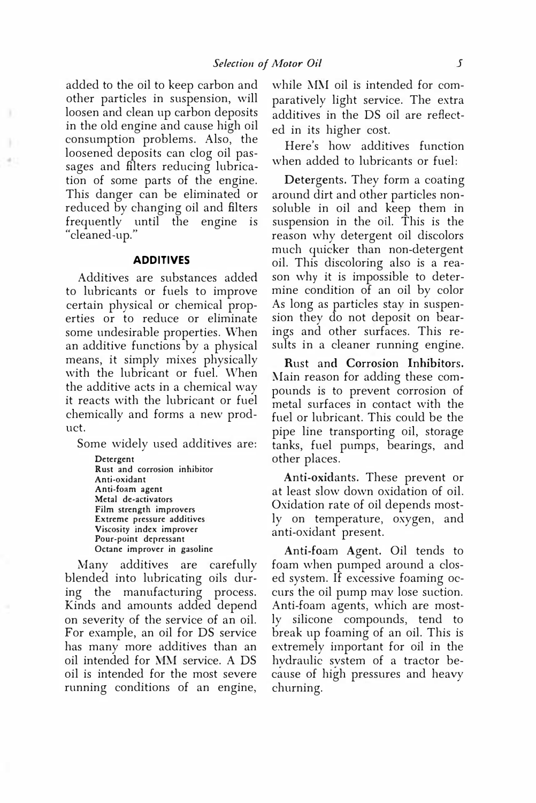added to the oil to keep carbon and other particles in suspension, will loosen and clean up carbon deposits in the old engine and cause high oil consumption problems. Also, the loosened deposits can clog oil passages and filters reducing lubrication of some parts of the engine. This danger can be eliminated or reduced by changing oil and filters frequently until the engine is "cleaned-up."

١ and it

#### **ADDITIVES**

Additives are substances added to lubricants or fuels to improve certain physical or chemical properties or to reduce or eliminate some undesirable properties. When an additive functions by a physical means, it simply mixes physically with the lubricant or fuel. When the additive acts in a chemical way it reacts with the lubricant or fuel chemically and forms a new product.

Some widely used additives are:

**Detergent Rust and corrosion inhibitor Anti-oxidant Anti-foam agent Metal de-activators Film strength improvers Extreme pressure additives Viscosity index improver Pour-point depressant Octane improver in gasoline** 

Many additives are carefully blended into lubricating oils during the manufacturing process. Kinds and amounts added depend on severity of the service of an oil. For example, an oil for DS service has many more additives than an oil intended for MM service. A DS oil is intended for the most severe running conditions of an engine, while MM oil is intended for comparatively light service. The extra additives in the DS oil are reflected in its higher cost.

Here's how additives function when added to lubricants or fuel:

Detergents. They form a coating around dirt and other particles nonsoluble in oil and keep them in suspension in the oil. This is the reason why detergent oil discolors much quicker than non-detergent oil. This discoloring also is a reason why it is impossible to determine condition of an oil by color As long as particles stay in suspension they do not deposit on bearings and other surfaces. This results in a cleaner running engine.

Rust and Corrosion Inhibitors. Main reason for adding these compounds is to prevent corrosion of metal surfaces in contact with the fuel or lubricant. This could be the pipe line transporting oil, storage tanks, fuel pumps, bearings, and other places.

Anti-oxidants. These prevent or at least slow down oxidation of oil. Oxidation rate of oil depends mostly on temperature, oxygen, and anti-oxidant present.

Anti-foam Agent. Oil tends to foam when pumped around a closed system. If excessive foaming occurs the oil pump may lose suction. Anti-foam agents, which are mostly silicone compounds, tend to break up foaming of an oil. This is extremely important for oil in the hydraulic system of a tractor because of high pressures and heavy churning.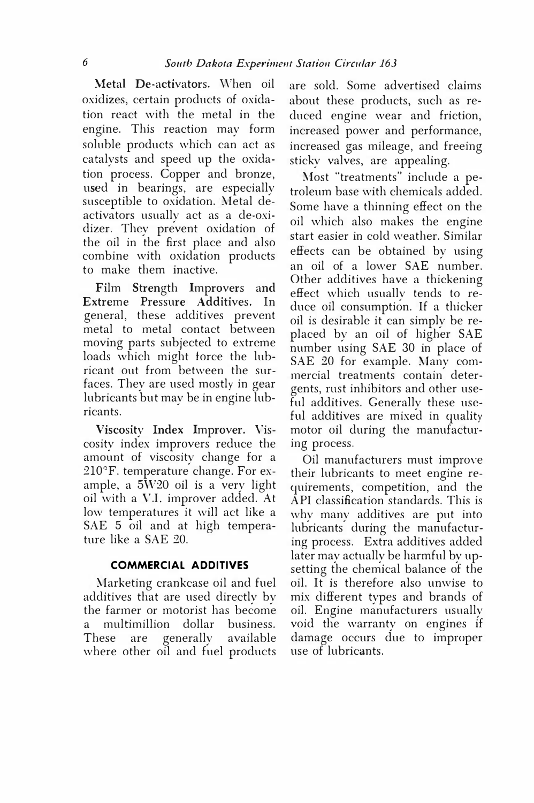Metal De-activators. When oil oxidizes, certain products of oxidation react with the metal in the engine. This reaction may form soluble products which can act as catalysts and speed up the oxidation process. Copper and bronze, used in bearings, are especially susceptible to oxidation. Metal deactivators usually act as a de-oxidizer. They prevent oxidation of the oil in the first place and also combine with oxidation products to make them inactive.

Film Strength lmprovers and Extreme Pressure Additives. In general, these additives prevent metal to metal contact between moving parts subjected to extreme loads which might force the lubricant out from between the surfaces. They are used mostly in gear lubricants but may be in engine lubricants.

Viscosity Index Improver. Viscosity index improvers reduce the amount of viscosity change for a 210°F. temperature change. For example, a *5\<sup>i</sup> \ <sup>1</sup>20* oil is a very light oil with a V.I. improver added. At low temperatures it will act like a SAE 5 oil and at high temperature like a SAE 20.

#### **COMMERCIAL ADDITIVES**

Marketing crankcase oil and fuel additives that are used directly by the farmer or motorist has become a multimillion dollar business.<br>These are generally available These are where other oil and fuel products

are sold. Some advertised claims about these products, such as reduced engine wear and friction, increased power and performance, increased gas mileage, and freeing sticky valves, are appealing.

Most "treatments" include a petroleum base with chemicals added. Some have a thinning effect on the oil which also makes the engine start easier in cold weather. Similar effects can be obtained by using an oil of a lower SAE number. Other additives have a thickening effect which usually tends to reduce oil consumption. If a thicker oil is desirable it can simply be replaced by an oil of higher SAE number using SAE 30 in place of SAE 20 for example. Many commercial treatments contain detergents, rust inhibitors and other useful additives. Generally these useful additives are mixed in quality motor oil during the manufacturing process.

Oil manufacturers must improve their lubricants to meet engine requirements, competition, and the API classification standards. This is why many additives are put into lubricants during the manufacturing process. Extra additives added later may actually be harmful by upsetting the chemical balance of the oil. It is therefore also unwise to mix different types and brands of oil. Engine manufacturers usually void the warranty on engines if damage occurs due to improper use of lubricants.